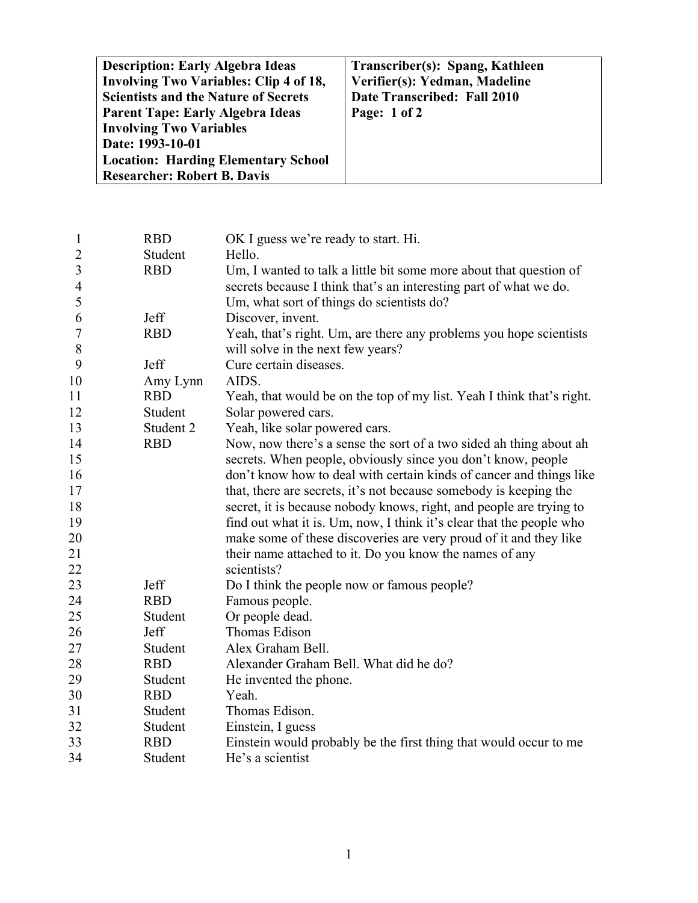| <b>Description: Early Algebra Ideas</b><br><b>Involving Two Variables: Clip 4 of 18,</b><br><b>Scientists and the Nature of Secrets</b><br><b>Parent Tape: Early Algebra Ideas</b><br><b>Involving Two Variables</b><br>Date: 1993-10-01 | Transcriber(s): Spang, Kathleen<br>Verifier(s): Yedman, Madeline<br>Date Transcribed: Fall 2010<br>Page: 1 of 2 |
|------------------------------------------------------------------------------------------------------------------------------------------------------------------------------------------------------------------------------------------|-----------------------------------------------------------------------------------------------------------------|
| <b>Location: Harding Elementary School</b><br><b>Researcher: Robert B. Davis</b>                                                                                                                                                         |                                                                                                                 |

| $\mathbf{1}$             | <b>RBD</b> | OK I guess we're ready to start. Hi.                                  |
|--------------------------|------------|-----------------------------------------------------------------------|
| $\overline{2}$           | Student    | Hello.                                                                |
| $\overline{3}$           | <b>RBD</b> | Um, I wanted to talk a little bit some more about that question of    |
| $\overline{\mathcal{A}}$ |            | secrets because I think that's an interesting part of what we do.     |
| 5                        |            | Um, what sort of things do scientists do?                             |
| 6                        | Jeff       | Discover, invent.                                                     |
| $\boldsymbol{7}$         | <b>RBD</b> | Yeah, that's right. Um, are there any problems you hope scientists    |
| 8                        |            | will solve in the next few years?                                     |
| 9                        | Jeff       | Cure certain diseases.                                                |
| 10                       | Amy Lynn   | AIDS.                                                                 |
| 11                       | <b>RBD</b> | Yeah, that would be on the top of my list. Yeah I think that's right. |
| 12                       | Student    | Solar powered cars.                                                   |
| 13                       | Student 2  | Yeah, like solar powered cars.                                        |
| 14                       | <b>RBD</b> | Now, now there's a sense the sort of a two sided ah thing about ah    |
| 15                       |            | secrets. When people, obviously since you don't know, people          |
| 16                       |            | don't know how to deal with certain kinds of cancer and things like   |
| 17                       |            | that, there are secrets, it's not because somebody is keeping the     |
| 18                       |            | secret, it is because nobody knows, right, and people are trying to   |
| 19                       |            | find out what it is. Um, now, I think it's clear that the people who  |
| 20                       |            | make some of these discoveries are very proud of it and they like     |
| 21                       |            | their name attached to it. Do you know the names of any               |
| 22                       |            | scientists?                                                           |
| 23                       | Jeff       | Do I think the people now or famous people?                           |
| 24                       | <b>RBD</b> | Famous people.                                                        |
| 25                       | Student    | Or people dead.                                                       |
| 26                       | Jeff       | Thomas Edison                                                         |
| 27                       | Student    | Alex Graham Bell.                                                     |
| 28                       | <b>RBD</b> | Alexander Graham Bell. What did he do?                                |
| 29                       | Student    | He invented the phone.                                                |
| 30                       | <b>RBD</b> | Yeah.                                                                 |
| 31                       | Student    | Thomas Edison.                                                        |
| 32                       | Student    | Einstein, I guess                                                     |
| 33                       | <b>RBD</b> | Einstein would probably be the first thing that would occur to me     |
| 34                       | Student    | He's a scientist                                                      |